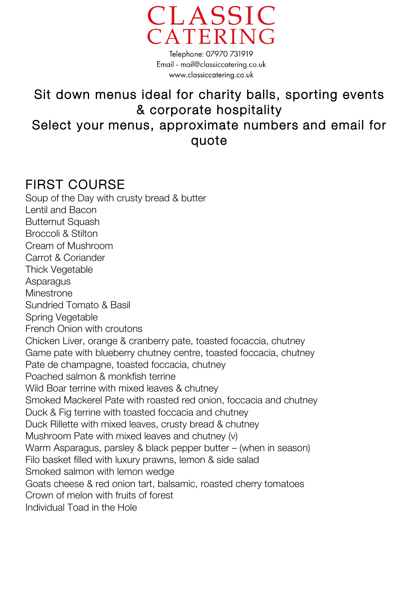

Telephone: 07970 731919 Email - mail@classiccatering.co.uk www.classiccatering.co.uk

### Sit down menus ideal for charity balls, sporting events & corporate hospitality Select your menus, approximate numbers and email for quote

### FIRST COURSE

Soup of the Day with crusty bread & butter Lentil and Bacon **Butternut Squash** Broccoli & Stilton Cream of Mushroom Carrot & Coriander Thick Vegetable **Asparagus Minestrone** Sundried Tomato & Basil Spring Vegetable French Onion with croutons Chicken Liver, orange & cranberry pate, toasted focaccia, chutney Game pate with blueberry chutney centre, toasted foccacia, chutney Pate de champagne, toasted foccacia, chutney Poached salmon & monkfish terrine Wild Boar terrine with mixed leaves & chutney Smoked Mackerel Pate with roasted red onion, foccacia and chutney Duck & Fig terrine with toasted foccacia and chutney Duck Rillette with mixed leaves, crusty bread & chutney Mushroom Pate with mixed leaves and chutney (v) Warm Asparagus, parsley & black pepper butter – (when in season) Filo basket filled with luxury prawns, lemon & side salad Smoked salmon with lemon wedge Goats cheese & red onion tart, balsamic, roasted cherry tomatoes Crown of melon with fruits of forest Individual Toad in the Hole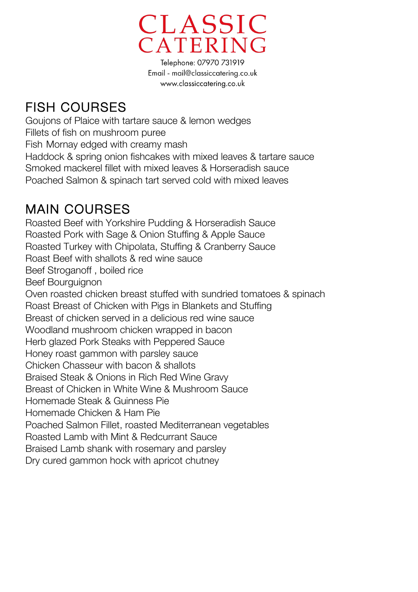

Telephone: 07970 731919 Email - mail@classiccatering.co.uk www.classiccatering.co.uk

## FISH COURSES

Goujons of Plaice with tartare sauce & lemon wedges Fillets of fish on mushroom puree Fish Mornay edged with creamy mash Haddock & spring onion fishcakes with mixed leaves & tartare sauce Smoked mackerel fillet with mixed leaves & Horseradish sauce Poached Salmon & spinach tart served cold with mixed leaves

**MAIN COURSES**<br>Roasted Beef with Yorkshire Pudding & Horseradish Sauce Roasted Pork with Sage & Onion Stuffing & Apple Sauce Roasted Turkey with Chipolata, Stuffing & Cranberry Sauce Roast Beef with shallots & red wine sauce Beef Stroganoff , boiled rice Beef Bourguignon Oven roasted chicken breast stuffed with sundried tomatoes & spinach Roast Breast of Chicken with Pigs in Blankets and Stuffing Breast of chicken served in a delicious red wine sauce Woodland mushroom chicken wrapped in bacon Herb glazed Pork Steaks with Peppered Sauce Honey roast gammon with parsley sauce Chicken Chasseur with bacon & shallots Braised Steak & Onions in Rich Red Wine Gravy Breast of Chicken in White Wine & Mushroom Sauce Homemade Steak & Guinness Pie Homemade Chicken & Ham Pie Poached Salmon Fillet, roasted Mediterranean vegetables Roasted Lamb with Mint & Redcurrant Sauce Braised Lamb shank with rosemary and parsley Dry cured gammon hock with apricot chutney